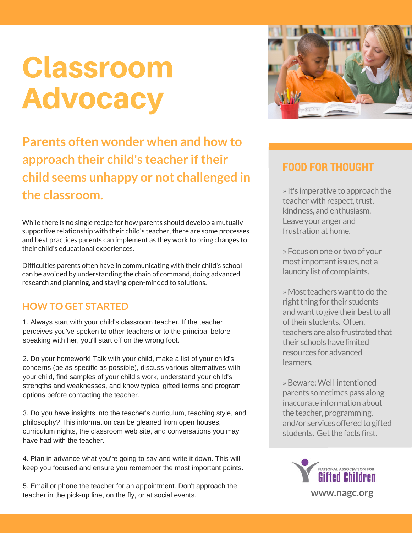## Classroom Advocacy

**Parents often wonder when and how to approach their child's teacher iftheir child seems unhappy or not challenged in the classroom.**

While there is no single recipe for how parents should develop a mutually supportive relationship with their child's teacher, there are some processes and best practices parents can implement as they work to bring changes to their child's educational experiences.

Difficulties parents often have in communicating with their child's school can be avoided by understanding the chain of command, doing advanced research and planning, and staying open-minded to solutions.

#### **HOW TO GET STARTED**

1. Always start with your child's classroom teacher. If the teacher perceives you've spoken to other teachers or to the principal before speaking with her, you'll start off on the wrong foot.

2. Do your homework! Talk with your child, make a list of your child's concerns (be as specific as possible), discuss various alternatives with your child, find samples of your child's work, understand your child's strengths and weaknesses, and know typical gifted terms and program options before contacting the teacher.

3. Do you have insights into the teacher's curriculum, teaching style, and philosophy? This information can be gleaned from open houses, curriculum nights, the classroom web site, and conversations you may have had with the teacher.

4. Plan in advance what you're going to say and write it down. This will keep you focused and ensure you remember the most important points.

5. Email or phone the teacher for an appointment. Don't approach the teacher in the pick-up line, on the fly, or at social events.



### **FOOD FOR THOUGHT**

» It's imperative to approach the teacher with respect, trust, kindness, and enthusiasm. Leave your anger and frustration at home.

» Focus on one or two of your most important issues, not a laundry list of complaints.

» Most teachers want to do the right thing for their students and want to give their best to all oftheir students. Often, teachers are also frustrated that their schools have limited resources for advanced learners.

»Beware:Well-intentioned parents sometimes pass along inaccurate information about the teacher, programming, and/or services offered to gifted students. Get the facts first.